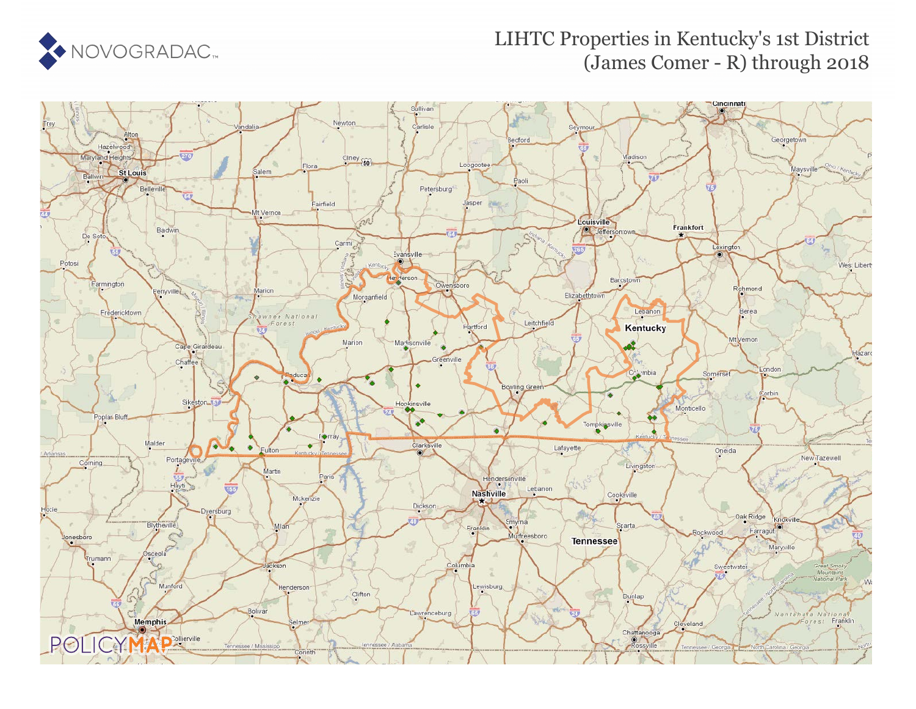

## LIHTC Properties in Kentucky's 1st District (James Comer - R) through 2018

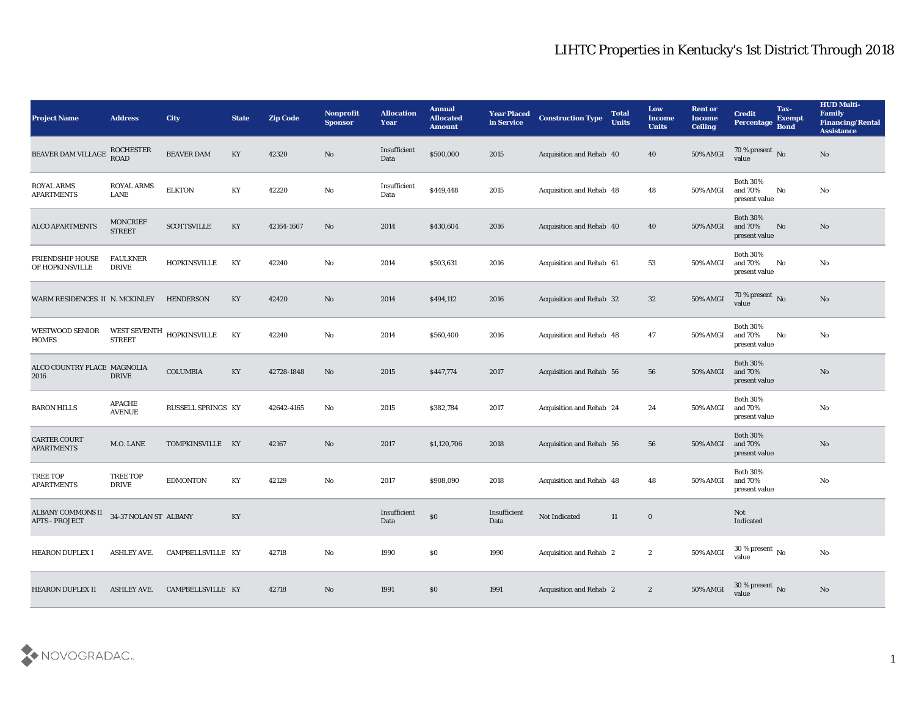| <b>Project Name</b>                        | <b>Address</b>                       | <b>City</b>         | <b>State</b> | <b>Zip Code</b> | Nonprofit<br><b>Sponsor</b> | <b>Allocation</b><br>Year | <b>Annual</b><br><b>Allocated</b><br><b>Amount</b> | <b>Year Placed</b><br>in Service | <b>Construction Type</b>        | <b>Total</b><br><b>Units</b> | Low<br><b>Income</b><br><b>Units</b> | <b>Rent or</b><br><b>Income</b><br><b>Ceiling</b> | <b>Credit</b><br>Percentage                 | Tax-<br><b>Exempt</b><br><b>Bond</b> | <b>HUD Multi-</b><br>Family<br><b>Financing/Rental</b><br><b>Assistance</b> |
|--------------------------------------------|--------------------------------------|---------------------|--------------|-----------------|-----------------------------|---------------------------|----------------------------------------------------|----------------------------------|---------------------------------|------------------------------|--------------------------------------|---------------------------------------------------|---------------------------------------------|--------------------------------------|-----------------------------------------------------------------------------|
| <b>BEAVER DAM VILLAGE</b>                  | <b>ROCHESTER</b><br><b>ROAD</b>      | BEAVER DAM          | KY           | 42320           | No                          | Insufficient<br>Data      | \$500,000                                          | 2015                             | Acquisition and Rehab 40        |                              | 40                                   | 50% AMGI                                          | 70 % present No value                       |                                      | No                                                                          |
| ROYAL ARMS<br><b>APARTMENTS</b>            | <b>ROYAL ARMS</b><br>LANE            | <b>ELKTON</b>       | KY           | 42220           | No                          | Insufficient<br>Data      | \$449,448                                          | 2015                             | Acquisition and Rehab 48        |                              | 48                                   | 50% AMGI                                          | <b>Both 30%</b><br>and 70%<br>present value | No                                   | No                                                                          |
| <b>ALCO APARTMENTS</b>                     | <b>MONCRIEF</b><br><b>STREET</b>     | <b>SCOTTSVILLE</b>  | KY           | 42164-1667      | No                          | 2014                      | \$430,604                                          | 2016                             | Acquisition and Rehab 40        |                              | 40                                   | 50% AMGI                                          | <b>Both 30%</b><br>and 70%<br>present value | No                                   | No                                                                          |
| <b>FRIENDSHIP HOUSE</b><br>OF HOPKINSVILLE | <b>FAULKNER</b><br><b>DRIVE</b>      | <b>HOPKINSVILLE</b> | KY           | 42240           | No                          | 2014                      | \$503,631                                          | 2016                             | Acquisition and Rehab 61        |                              | 53                                   | 50% AMGI                                          | <b>Both 30%</b><br>and 70%<br>present value | No                                   | No                                                                          |
| WARM RESIDENCES II N. MCKINLEY             |                                      | <b>HENDERSON</b>    | KY           | 42420           | No                          | 2014                      | \$494,112                                          | 2016                             | <b>Acquisition and Rehab 32</b> |                              | 32                                   | 50% AMGI                                          | 70 % present No<br>value                    |                                      | No                                                                          |
| <b>WESTWOOD SENIOR</b><br>HOMES            | <b>WEST SEVENTH</b><br><b>STREET</b> | <b>HOPKINSVILLE</b> | KY           | 42240           | No                          | 2014                      | \$560,400                                          | 2016                             | Acquisition and Rehab 48        |                              | 47                                   | 50% AMGI                                          | <b>Both 30%</b><br>and 70%<br>present value | No                                   | No                                                                          |
| ALCO COUNTRY PLACE MAGNOLIA<br>2016        | <b>DRIVE</b>                         | <b>COLUMBIA</b>     | KY           | 42728-1848      | No                          | 2015                      | \$447,774                                          | 2017                             | Acquisition and Rehab 56        |                              | 56                                   | <b>50% AMGI</b>                                   | <b>Both 30%</b><br>and 70%<br>present value |                                      | No                                                                          |
| <b>BARON HILLS</b>                         | <b>APACHE</b><br><b>AVENUE</b>       | RUSSELL SPRINGS KY  |              | 42642-4165      | No                          | 2015                      | \$382,784                                          | 2017                             | <b>Acquisition and Rehab 24</b> |                              | 24                                   | 50% AMGI                                          | <b>Both 30%</b><br>and 70%<br>present value |                                      | No                                                                          |
| <b>CARTER COURT</b><br><b>APARTMENTS</b>   | M.O. LANE                            | TOMPKINSVILLE KY    |              | 42167           | No                          | 2017                      | \$1,120,706                                        | 2018                             | <b>Acquisition and Rehab 56</b> |                              | 56                                   | 50% AMGI                                          | <b>Both 30%</b><br>and 70%<br>present value |                                      | No                                                                          |
| <b>TREE TOP</b><br><b>APARTMENTS</b>       | <b>TREE TOP</b><br><b>DRIVE</b>      | <b>EDMONTON</b>     | KY           | 42129           | No                          | 2017                      | \$908,090                                          | 2018                             | Acquisition and Rehab 48        |                              | 48                                   | 50% AMGI                                          | <b>Both 30%</b><br>and 70%<br>present value |                                      | No                                                                          |
| ALBANY COMMONS II<br><b>APTS - PROJECT</b> | 34-37 NOLAN ST ALBANY                |                     | KY           |                 |                             | Insufficient<br>Data      | \$0                                                | Insufficient<br>Data             | Not Indicated                   | 11                           | $\bf{0}$                             |                                                   | Not<br>Indicated                            |                                      |                                                                             |
| <b>HEARON DUPLEX I</b>                     | <b>ASHLEY AVE.</b>                   | CAMPBELLSVILLE KY   |              | 42718           | $\mathbf {No}$              | 1990                      | $\$0$                                              | 1990                             | Acquisition and Rehab 2         |                              | $\boldsymbol{2}$                     | 50% AMGI                                          | $30\,\%$ present $\,$ No value              |                                      | $\rm \bf No$                                                                |
| <b>HEARON DUPLEX II</b>                    | <b>ASHLEY AVE.</b>                   | CAMPBELLSVILLE KY   |              | 42718           | $\rm\thinspace No$          | 1991                      | \$0                                                | 1991                             | Acquisition and Rehab 2         |                              | $\mathbf{2}$                         | 50% AMGI                                          | $30\,\%$ present $\,$ No value              |                                      | $\mathbf{N}\mathbf{o}$                                                      |

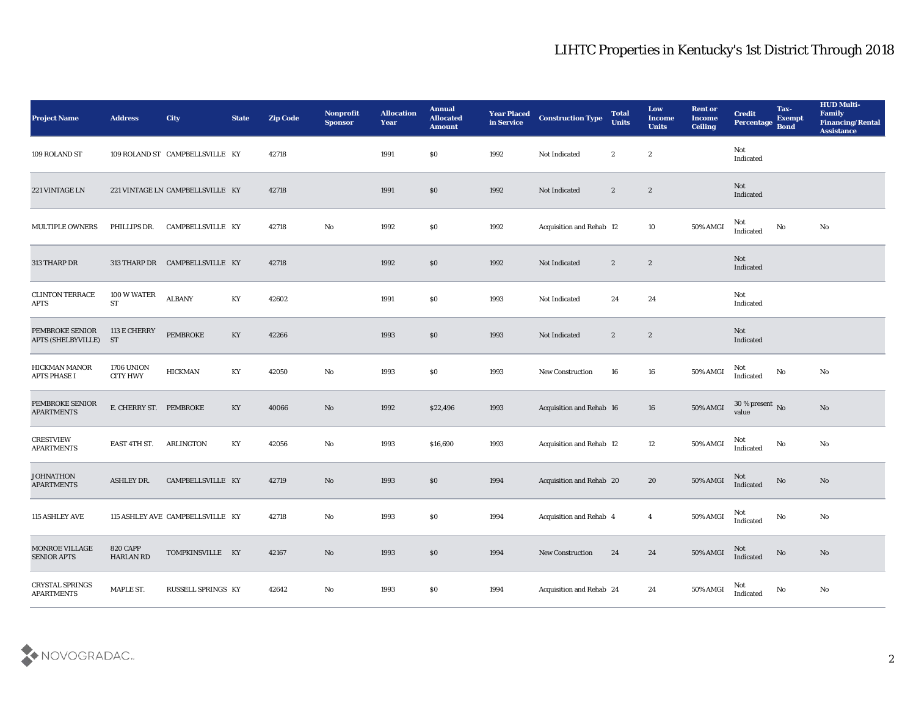| <b>Project Name</b>                          | <b>Address</b>                       | <b>City</b>                      | <b>State</b> | <b>Zip Code</b> | Nonprofit<br><b>Sponsor</b> | <b>Allocation</b><br><b>Year</b> | <b>Annual</b><br><b>Allocated</b><br><b>Amount</b> | <b>Year Placed</b><br>in Service | <b>Construction Type</b> | <b>Total</b><br><b>Units</b> | Low<br><b>Income</b><br><b>Units</b> | <b>Rent or</b><br><b>Income</b><br><b>Ceiling</b> | <b>Credit</b><br>Percentage Bond  | Tax-<br><b>Exempt</b> | <b>HUD Multi-</b><br>Family<br><b>Financing/Rental</b><br><b>Assistance</b> |
|----------------------------------------------|--------------------------------------|----------------------------------|--------------|-----------------|-----------------------------|----------------------------------|----------------------------------------------------|----------------------------------|--------------------------|------------------------------|--------------------------------------|---------------------------------------------------|-----------------------------------|-----------------------|-----------------------------------------------------------------------------|
| 109 ROLAND ST                                |                                      | 109 ROLAND ST CAMPBELLSVILLE KY  |              | 42718           |                             | 1991                             | \$0                                                | 1992                             | Not Indicated            | $\boldsymbol{2}$             | $\boldsymbol{2}$                     |                                                   | Not<br>Indicated                  |                       |                                                                             |
| 221 VINTAGE LN                               |                                      | 221 VINTAGE LN CAMPBELLSVILLE KY |              | 42718           |                             | 1991                             | $\$0$                                              | 1992                             | Not Indicated            | $\mathbf{2}$                 | $\boldsymbol{2}$                     |                                                   | <b>Not</b><br>Indicated           |                       |                                                                             |
| <b>MULTIPLE OWNERS</b>                       | PHILLIPS DR.                         | CAMPBELLSVILLE KY                |              | 42718           | No                          | 1992                             | \$0\$                                              | 1992                             | Acquisition and Rehab 12 |                              | 10                                   | 50% AMGI                                          | Not<br>Indicated                  | No                    | No                                                                          |
| 313 THARP DR                                 |                                      | 313 THARP DR CAMPBELLSVILLE KY   |              | 42718           |                             | 1992                             | $\$0$                                              | 1992                             | Not Indicated            | $\mathbf{2}$                 | $\boldsymbol{2}$                     |                                                   | Not<br>Indicated                  |                       |                                                                             |
| <b>CLINTON TERRACE</b><br>APTS               | 100 W WATER<br>${\rm ST}$            | <b>ALBANY</b>                    | KY           | 42602           |                             | 1991                             | \$0\$                                              | 1993                             | Not Indicated            | 24                           | 24                                   |                                                   | Not<br>Indicated                  |                       |                                                                             |
| PEMBROKE SENIOR<br><b>APTS (SHELBYVILLE)</b> | 113 E CHERRY<br><b>ST</b>            | <b>PEMBROKE</b>                  | KY           | 42266           |                             | 1993                             | \$0                                                | 1993                             | Not Indicated            | $\boldsymbol{2}$             | $\boldsymbol{2}$                     |                                                   | Not<br>Indicated                  |                       |                                                                             |
| HICKMAN MANOR<br><b>APTS PHASE I</b>         | <b>1706 UNION</b><br><b>CITY HWY</b> | <b>HICKMAN</b>                   | KY           | 42050           | No                          | 1993                             | $\$0$                                              | 1993                             | New Construction         | 16                           | 16                                   | 50% AMGI                                          | Not<br>Indicated                  | No                    | No                                                                          |
| PEMBROKE SENIOR<br><b>APARTMENTS</b>         | E. CHERRY ST. PEMBROKE               |                                  | KY           | 40066           | No                          | 1992                             | \$22,496                                           | 1993                             | Acquisition and Rehab 16 |                              | 16                                   | 50% AMGI                                          | 30 % present $\bar{N}$ o<br>value |                       | No                                                                          |
| <b>CRESTVIEW</b><br><b>APARTMENTS</b>        | EAST 4TH ST.                         | ARLINGTON                        | KY           | 42056           | No                          | 1993                             | \$16,690                                           | 1993                             | Acquisition and Rehab 12 |                              | 12                                   | 50% AMGI                                          | Not<br>Indicated                  | No                    | No                                                                          |
| <b>JOHNATHON</b><br><b>APARTMENTS</b>        | <b>ASHLEY DR.</b>                    | CAMPBELLSVILLE KY                |              | 42719           | No                          | 1993                             | $\$0$                                              | 1994                             | Acquisition and Rehab 20 |                              | 20                                   | 50% AMGI                                          | Not<br>Indicated                  | $\rm No$              | No                                                                          |
| 115 ASHLEY AVE                               |                                      | 115 ASHLEY AVE CAMPBELLSVILLE KY |              | 42718           | No                          | 1993                             | $\$0$                                              | 1994                             | Acquisition and Rehab 4  |                              | $\overline{4}$                       | 50% AMGI                                          | Not<br>Indicated                  | No                    | No                                                                          |
| MONROE VILLAGE<br><b>SENIOR APTS</b>         | <b>820 CAPP</b><br><b>HARLAN RD</b>  | TOMPKINSVILLE KY                 |              | 42167           | $\rm\thinspace No$          | 1993                             | $\$0$                                              | 1994                             | New Construction         | 24                           | 24                                   | 50% AMGI                                          | Not<br>Indicated                  | $\rm No$              | $\mathbf{N}\mathbf{o}$                                                      |
| CRYSTAL SPRINGS<br><b>APARTMENTS</b>         | MAPLE ST.                            | RUSSELL SPRINGS KY               |              | 42642           | $\rm\thinspace No$          | 1993                             | \$0                                                | 1994                             | Acquisition and Rehab 24 |                              | 24                                   | 50% AMGI                                          | Not<br>Indicated                  | $\mathbf {No}$        | $\rm\thinspace No$                                                          |

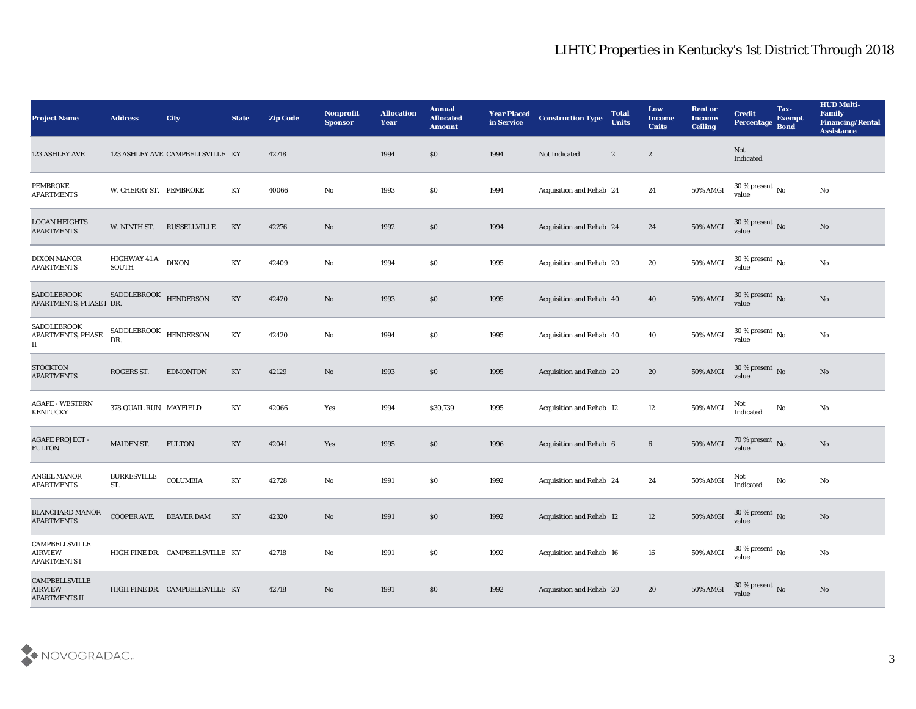| <b>Project Name</b>                                             | <b>Address</b>                                                                                   | <b>City</b>                      | <b>State</b> | <b>Zip Code</b> | Nonprofit<br><b>Sponsor</b> | <b>Allocation</b><br><b>Year</b> | <b>Annual</b><br><b>Allocated</b><br><b>Amount</b> | <b>Year Placed</b><br>in Service | <b>Construction Type</b> | <b>Total</b><br><b>Units</b> | Low<br><b>Income</b><br><b>Units</b> | <b>Rent or</b><br><b>Income</b><br><b>Ceiling</b> | <b>Credit</b><br>Percentage Bond       | Tax-<br><b>Exempt</b> | <b>HUD Multi-</b><br>Family<br><b>Financing/Rental</b><br><b>Assistance</b> |
|-----------------------------------------------------------------|--------------------------------------------------------------------------------------------------|----------------------------------|--------------|-----------------|-----------------------------|----------------------------------|----------------------------------------------------|----------------------------------|--------------------------|------------------------------|--------------------------------------|---------------------------------------------------|----------------------------------------|-----------------------|-----------------------------------------------------------------------------|
| 123 ASHLEY AVE                                                  |                                                                                                  | 123 ASHLEY AVE CAMPBELLSVILLE KY |              | 42718           |                             | 1994                             | $\$0$                                              | 1994                             | Not Indicated            | $\boldsymbol{2}$             | $\boldsymbol{2}$                     |                                                   | Not<br>Indicated                       |                       |                                                                             |
| PEMBROKE<br><b>APARTMENTS</b>                                   | W. CHERRY ST. PEMBROKE                                                                           |                                  | KY           | 40066           | No                          | 1993                             | \$0                                                | 1994                             | Acquisition and Rehab 24 |                              | 24                                   | 50% AMGI                                          | $30\,\%$ present $\,$ No $\,$<br>value |                       | No                                                                          |
| <b>LOGAN HEIGHTS</b><br><b>APARTMENTS</b>                       | W. NINTH ST.                                                                                     | RUSSELLVILLE                     | KY           | 42276           | No                          | 1992                             | \$0                                                | 1994                             | Acquisition and Rehab 24 |                              | 24                                   | 50% AMGI                                          | 30 % present $\,$ No $\,$<br>value     |                       | No                                                                          |
| <b>DIXON MANOR</b><br><b>APARTMENTS</b>                         | <b>HIGHWAY 41 A</b><br><b>SOUTH</b>                                                              | <b>DIXON</b>                     | KY           | 42409           | No                          | 1994                             | \$0                                                | 1995                             | Acquisition and Rehab 20 |                              | 20                                   | 50% AMGI                                          | $30\,\%$ present $\,$ No value         |                       | No                                                                          |
| <b>SADDLEBROOK</b><br>APARTMENTS, PHASE I DR.                   | SADDLEBROOK                                                                                      | <b>HENDERSON</b>                 | KY           | 42420           | No                          | 1993                             | \$0                                                | 1995                             | Acquisition and Rehab 40 |                              | 40                                   | 50% AMGI                                          | 30 % present $\,$ No $\,$<br>value     |                       | No                                                                          |
| <b>SADDLEBROOK</b><br>APARTMENTS, PHASE<br>П                    | $\begin{minipage}{.4\linewidth} \textbf{SADDLEBROOK} & \textbf{HENDERSON} \end{minipage}$<br>DR. |                                  | KY           | 42420           | No                          | 1994                             | \$0                                                | 1995                             | Acquisition and Rehab 40 |                              | 40                                   | 50% AMGI                                          | 30 % present $\,$ No $\,$<br>value     |                       | No                                                                          |
| <b>STOCKTON</b><br><b>APARTMENTS</b>                            | ROGERS ST.                                                                                       | <b>EDMONTON</b>                  | KY           | 42129           | No                          | 1993                             | $\$0$                                              | 1995                             | Acquisition and Rehab 20 |                              | 20                                   | <b>50% AMGI</b>                                   | $30\,\%$ present $_{\rm{No}}$          |                       | No                                                                          |
| <b>AGAPE - WESTERN</b><br><b>KENTUCKY</b>                       | 378 QUAIL RUN MAYFIELD                                                                           |                                  | KY           | 42066           | Yes                         | 1994                             | \$30,739                                           | 1995                             | Acquisition and Rehab 12 |                              | 12                                   | $50\%$ AMGI                                       | Not<br>Indicated                       | No                    | No                                                                          |
| <b>AGAPE PROJECT -</b><br>FULTON                                | MAIDEN ST.                                                                                       | <b>FULTON</b>                    | KY           | 42041           | Yes                         | 1995                             | \$0                                                | 1996                             | Acquisition and Rehab 6  |                              | $6\phantom{.}6$                      | <b>50% AMGI</b>                                   | $70\,\%$ present $\,$ No value         |                       | No                                                                          |
| <b>ANGEL MANOR</b><br><b>APARTMENTS</b>                         | <b>BURKESVILLE</b><br>ST.                                                                        | <b>COLUMBIA</b>                  | KY           | 42728           | No                          | 1991                             | \$0                                                | 1992                             | Acquisition and Rehab 24 |                              | 24                                   | 50% AMGI                                          | Not<br>Indicated                       | $\rm \bf No$          | No                                                                          |
| <b>BLANCHARD MANOR</b><br><b>APARTMENTS</b>                     | COOPER AVE.                                                                                      | <b>BEAVER DAM</b>                | KY           | 42320           | No                          | 1991                             | $\$0$                                              | 1992                             | Acquisition and Rehab 12 |                              | 12                                   | 50% AMGI                                          | 30 % present No<br>value               |                       | No                                                                          |
| <b>CAMPBELLSVILLE</b><br><b>AIRVIEW</b><br><b>APARTMENTS I</b>  |                                                                                                  | HIGH PINE DR. CAMPBELLSVILLE KY  |              | 42718           | $\mathbf{N}\mathbf{o}$      | 1991                             | $\$0$                                              | 1992                             | Acquisition and Rehab 16 |                              | ${\bf 16}$                           | 50% AMGI                                          | $30\,\%$ present $\,$ No $\,$<br>value |                       | $\mathbf{N}\mathbf{o}$                                                      |
| <b>CAMPBELLSVILLE</b><br><b>AIRVIEW</b><br><b>APARTMENTS II</b> |                                                                                                  | HIGH PINE DR. CAMPBELLSVILLE KY  |              | 42718           | No                          | 1991                             | \$0\$                                              | 1992                             | Acquisition and Rehab 20 |                              | 20                                   | 50% AMGI                                          | 30 % present $\overline{N_0}$<br>value |                       | No                                                                          |

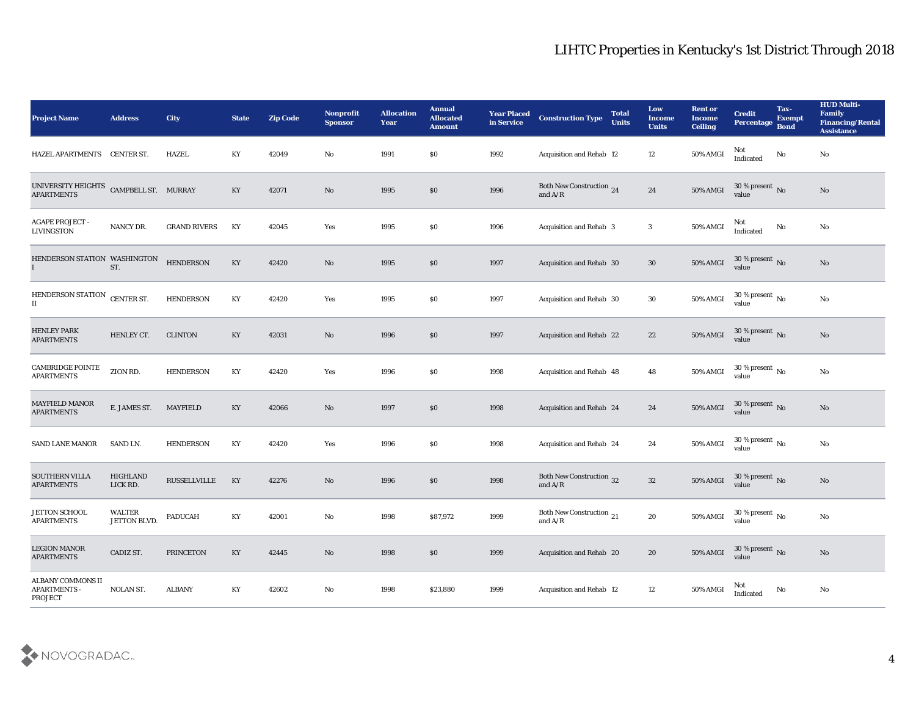| <b>Project Name</b>                          | <b>Address</b>                | City                | <b>State</b>           | <b>Zip Code</b> | Nonprofit<br><b>Sponsor</b> | <b>Allocation</b><br><b>Year</b> | <b>Annual</b><br><b>Allocated</b><br><b>Amount</b> | <b>Year Placed</b><br>in Service | <b>Construction Type</b>              | <b>Total</b><br><b>Units</b> | Low<br><b>Income</b><br><b>Units</b> | <b>Rent or</b><br><b>Income</b><br><b>Ceiling</b> | <b>Credit</b><br>Percentage Bond         | Tax-<br><b>Exempt</b> | <b>HUD Multi-</b><br>Family<br><b>Financing/Rental</b><br><b>Assistance</b> |
|----------------------------------------------|-------------------------------|---------------------|------------------------|-----------------|-----------------------------|----------------------------------|----------------------------------------------------|----------------------------------|---------------------------------------|------------------------------|--------------------------------------|---------------------------------------------------|------------------------------------------|-----------------------|-----------------------------------------------------------------------------|
| HAZEL APARTMENTS CENTER ST.                  |                               | <b>HAZEL</b>        | KY                     | 42049           | No                          | 1991                             | $\$0$                                              | 1992                             | <b>Acquisition and Rehab 12</b>       |                              | 12                                   | 50% AMGI                                          | Not<br>Indicated                         | No                    | No                                                                          |
| UNIVERSITY HEIGHTS<br><b>APARTMENTS</b>      | CAMPBELL ST. MURRAY           |                     | KY                     | 42071           | No                          | 1995                             | \$0                                                | 1996                             | Both New Construction 24<br>and $A/R$ |                              | 24                                   | 50% AMGI                                          | 30 % present $\sqrt{\ }$<br>value        |                       | $\mathbf{N}\mathbf{o}$                                                      |
| <b>AGAPE PROJECT -</b><br><b>LIVINGSTON</b>  | NANCY DR.                     | <b>GRAND RIVERS</b> | KY                     | 42045           | Yes                         | 1995                             | \$0                                                | 1996                             | <b>Acquisition and Rehab 3</b>        |                              | 3                                    | 50% AMGI                                          | Not<br>$\operatorname{Indicated}$        | No                    | $\rm\thinspace No$                                                          |
| HENDERSON STATION WASHINGTON<br>$\mathbf{I}$ | ST.                           | <b>HENDERSON</b>    | KY                     | 42420           | No                          | 1995                             | \$0\$                                              | 1997                             | Acquisition and Rehab 30              |                              | 30                                   | 50% AMGI                                          | $30\,\%$ present $\,$ No value           |                       | $\mathbf{N}\mathbf{o}$                                                      |
| HENDERSON STATION<br>$\rm II$                | CENTER ST.                    | <b>HENDERSON</b>    | KY                     | 42420           | Yes                         | 1995                             | \$0                                                | 1997                             | Acquisition and Rehab 30              |                              | 30                                   | 50% AMGI                                          | 30 % present $\,$ No $\,$<br>value       |                       | $\rm\thinspace No$                                                          |
| <b>HENLEY PARK</b><br><b>APARTMENTS</b>      | HENLEY CT.                    | <b>CLINTON</b>      | KY                     | 42031           | No                          | 1996                             | $\$0$                                              | 1997                             | <b>Acquisition and Rehab 22</b>       |                              | 22                                   | $50\%$ AMGI                                       | $30\,\%$ present $_{\, \rm No}$<br>value |                       | No                                                                          |
| <b>CAMBRIDGE POINTE</b><br><b>APARTMENTS</b> | ZION RD.                      | <b>HENDERSON</b>    | KY                     | 42420           | Yes                         | 1996                             | \$0                                                | 1998                             | Acquisition and Rehab 48              |                              | 48                                   | 50% AMGI                                          | 30 % present $\,$ No $\,$<br>value       |                       | No                                                                          |
| <b>MAYFIELD MANOR</b><br><b>APARTMENTS</b>   | E. JAMES ST.                  | <b>MAYFIELD</b>     | KY                     | 42066           | No                          | 1997                             | \$0                                                | 1998                             | <b>Acquisition and Rehab 24</b>       |                              | 24                                   | <b>50% AMGI</b>                                   | 30 % present $\sqrt{\ }$ No<br>value     |                       | $\mathbf{N}\mathbf{o}$                                                      |
| <b>SAND LANE MANOR</b>                       | SAND LN.                      | <b>HENDERSON</b>    | KY                     | 42420           | Yes                         | 1996                             | \$0                                                | 1998                             | Acquisition and Rehab 24              |                              | 24                                   | 50% AMGI                                          | 30 % present $\,$ No $\,$<br>value       |                       | $\mathbf{N}\mathbf{o}$                                                      |
| <b>SOUTHERN VILLA</b><br><b>APARTMENTS</b>   | HIGHLAND<br>LICK RD.          | RUSSELLVILLE        | KY                     | 42276           | No                          | 1996                             | $\$0$                                              | 1998                             | Both New Construction 32<br>and $A/R$ |                              | 32                                   | <b>50% AMGI</b>                                   | $30\,\%$ present $\,$ No value           |                       | No                                                                          |
| <b>JETTON SCHOOL</b><br><b>APARTMENTS</b>    | <b>WALTER</b><br>JETTON BLVD. | <b>PADUCAH</b>      | KY                     | 42001           | No                          | 1998                             | \$87,972                                           | 1999                             | Both New Construction 21<br>and $A/R$ |                              | 20                                   | 50% AMGI                                          | 30 % present $\,$ No $\,$<br>value       |                       | $\rm\thinspace No$                                                          |
| <b>LEGION MANOR</b><br><b>APARTMENTS</b>     | CADIZ ST.                     | PRINCETON           | KY                     | 42445           | $\rm\thinspace No$          | 1998                             | $\$0$                                              | 1999                             | Acquisition and Rehab 20              |                              | ${\bf 20}$                           | 50% AMGI                                          | $30\,\%$ present $\,$ No value           |                       | $\rm \bf No$                                                                |
| ALBANY COMMONS II<br>APARTMENTS -<br>PROJECT | <b>NOLAN ST.</b>              | ALBANY              | $\mathbf{K}\mathbf{Y}$ | 42602           | $\mathbf {No}$              | 1998                             | \$23,880                                           | 1999                             | Acquisition and Rehab 12              |                              | $12\,$                               | 50% AMGI                                          | Not<br>Indicated                         | $\rm \bf No$          | $\mathbf {No}$                                                              |

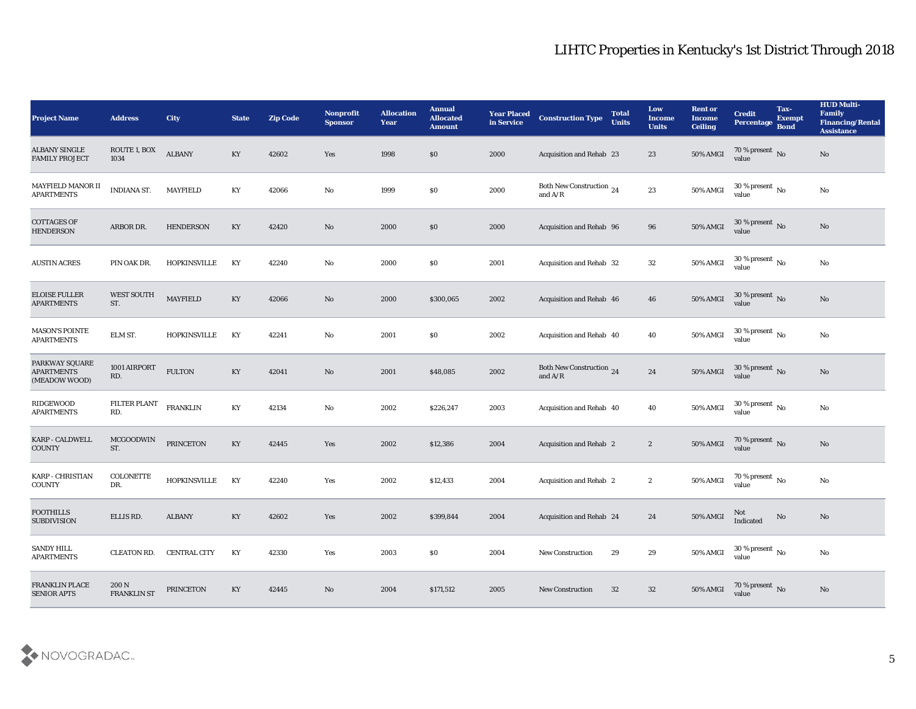| <b>Project Name</b>                                  | <b>Address</b>              | City                | <b>State</b> | <b>Zip Code</b> | Nonprofit<br><b>Sponsor</b> | <b>Allocation</b><br>Year | <b>Annual</b><br><b>Allocated</b><br><b>Amount</b> | <b>Year Placed</b><br>in Service | <b>Construction Type</b>              | <b>Total</b><br><b>Units</b> | Low<br><b>Income</b><br><b>Units</b> | <b>Rent or</b><br><b>Income</b><br><b>Ceiling</b> | <b>Credit</b><br>Percentage Bond     | Tax-<br><b>Exempt</b> | <b>HUD Multi-</b><br><b>Family</b><br><b>Financing/Rental</b><br><b>Assistance</b> |
|------------------------------------------------------|-----------------------------|---------------------|--------------|-----------------|-----------------------------|---------------------------|----------------------------------------------------|----------------------------------|---------------------------------------|------------------------------|--------------------------------------|---------------------------------------------------|--------------------------------------|-----------------------|------------------------------------------------------------------------------------|
| <b>ALBANY SINGLE</b><br><b>FAMILY PROJECT</b>        | ROUTE 1, BOX<br>1034        | <b>ALBANY</b>       | KY           | 42602           | Yes                         | 1998                      | $\$0$                                              | 2000                             | <b>Acquisition and Rehab 23</b>       |                              | 23                                   | $50\%$ AMGI                                       | 70 % present No<br>value             |                       | $\mathbf{N}\mathbf{o}$                                                             |
| MAYFIELD MANOR II<br><b>APARTMENTS</b>               | <b>INDIANA ST.</b>          | <b>MAYFIELD</b>     | KY           | 42066           | No                          | 1999                      | $\$0$                                              | 2000                             | Both New Construction 24<br>and $A/R$ |                              | 23                                   | 50% AMGI                                          | 30 % present $\,$ No $\,$<br>value   |                       | No                                                                                 |
| <b>COTTAGES OF</b><br><b>HENDERSON</b>               | ARBOR DR.                   | <b>HENDERSON</b>    | KY           | 42420           | No                          | 2000                      | \$0                                                | 2000                             | Acquisition and Rehab 96              |                              | 96                                   | 50% AMGI                                          | 30 % present No<br>value             |                       | $\rm\thinspace No$                                                                 |
| <b>AUSTIN ACRES</b>                                  | PIN OAK DR.                 | <b>HOPKINSVILLE</b> | KY           | 42240           | No                          | 2000                      | \$0                                                | 2001                             | Acquisition and Rehab 32              |                              | 32                                   | 50% AMGI                                          | 30 % present $\,$ No $\,$<br>value   |                       | $\rm\thinspace No$                                                                 |
| <b>ELOISE FULLER</b><br><b>APARTMENTS</b>            | <b>WEST SOUTH</b><br>ST.    | <b>MAYFIELD</b>     | KY           | 42066           | No                          | 2000                      | \$300,065                                          | 2002                             | Acquisition and Rehab 46              |                              | 46                                   | 50% AMGI                                          | 30 % present No<br>value             |                       | $\rm\thinspace No$                                                                 |
| <b>MASON'S POINTE</b><br><b>APARTMENTS</b>           | ELM ST.                     | <b>HOPKINSVILLE</b> | KY           | 42241           | No                          | 2001                      | \$0                                                | 2002                             | <b>Acquisition and Rehab 40</b>       |                              | 40                                   | 50% AMGI                                          | 30 % present $\,$ No $\,$<br>value   |                       | No                                                                                 |
| PARKWAY SQUARE<br><b>APARTMENTS</b><br>(MEADOW WOOD) | 1001 AIRPORT<br>RD.         | ${\tt FULTON}$      | KY           | 42041           | No                          | 2001                      | \$48,085                                           | 2002                             | Both New Construction 24<br>and $A/R$ |                              | 24                                   | 50% AMGI                                          | $30\,\%$ present $\,$ No value       |                       | No                                                                                 |
| RIDGEWOOD<br><b>APARTMENTS</b>                       | <b>FILTER PLANT</b><br>RD.  | <b>FRANKLIN</b>     | KY           | 42134           | No                          | 2002                      | \$226,247                                          | 2003                             | Acquisition and Rehab 40              |                              | 40                                   | 50% AMGI                                          | 30 % present $\,$ No $\,$<br>value   |                       | $\rm\thinspace No$                                                                 |
| <b>KARP - CALDWELL</b><br><b>COUNTY</b>              | <b>MCGOODWIN</b><br>ST.     | PRINCETON           | KY           | 42445           | Yes                         | 2002                      | \$12,386                                           | 2004                             | <b>Acquisition and Rehab 2</b>        |                              | $\boldsymbol{2}$                     | 50% AMGI                                          | 70 % present $\sqrt{\ }$ No<br>value |                       | $\rm\thinspace No$                                                                 |
| <b>KARP - CHRISTIAN</b><br><b>COUNTY</b>             | <b>COLONETTE</b><br>DR.     | <b>HOPKINSVILLE</b> | KY           | 42240           | Yes                         | 2002                      | \$12,433                                           | 2004                             | <b>Acquisition and Rehab 2</b>        |                              | $\boldsymbol{2}$                     | 50% AMGI                                          | 70 % present $\,$ No $\,$<br>value   |                       | $\rm\thinspace No$                                                                 |
| <b>FOOTHILLS</b><br><b>SUBDIVISION</b>               | ELLIS RD.                   | <b>ALBANY</b>       | KY           | 42602           | Yes                         | 2002                      | \$399,844                                          | 2004                             | <b>Acquisition and Rehab 24</b>       |                              | 24                                   | <b>50% AMGI</b>                                   | Not<br>Indicated                     | No                    | No                                                                                 |
| <b>SANDY HILL</b><br><b>APARTMENTS</b>               | <b>CLEATON RD.</b>          | <b>CENTRAL CITY</b> | KY           | 42330           | Yes                         | 2003                      | \$0                                                | 2004                             | <b>New Construction</b>               | 29                           | 29                                   | 50% AMGI                                          | $30\,\%$ present $\,$ No value       |                       | $\mathbf {No}$                                                                     |
| FRANKLIN PLACE<br><b>SENIOR APTS</b>                 | 200 N<br><b>FRANKLIN ST</b> | PRINCETON           | KY           | 42445           | No                          | 2004                      | \$171,512                                          | 2005                             | <b>New Construction</b>               | 32                           | 32                                   | 50% AMGI                                          | $70\,\%$ present $\,$ No value       |                       | $\rm\thinspace No$                                                                 |

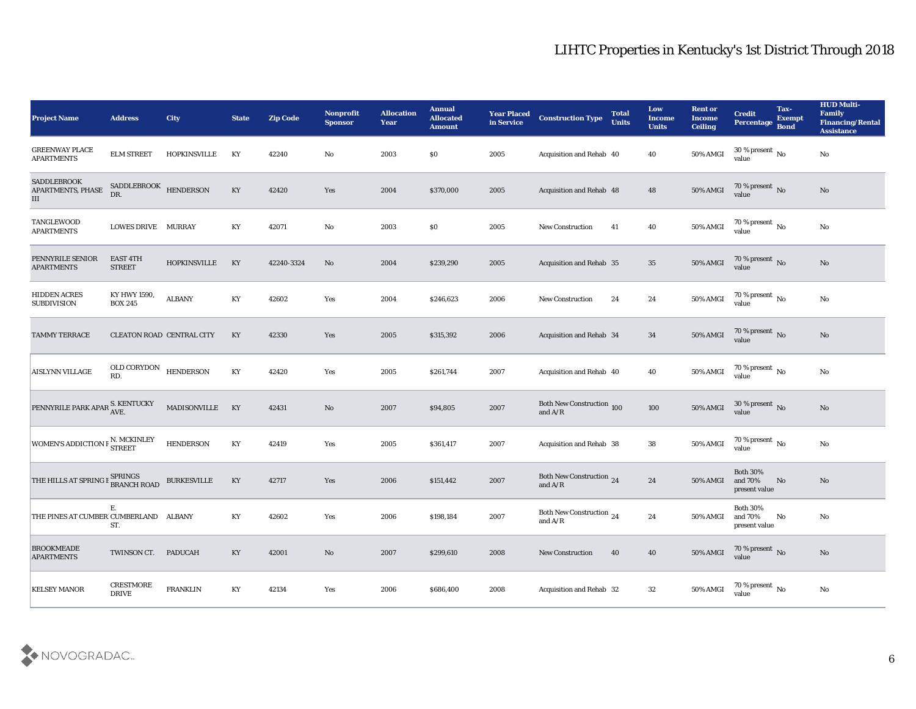| <b>Project Name</b>                                  | <b>Address</b>                   | City                | <b>State</b>           | <b>Zip Code</b> | Nonprofit<br><b>Sponsor</b> | <b>Allocation</b><br><b>Year</b> | <b>Annual</b><br><b>Allocated</b><br><b>Amount</b> | <b>Year Placed</b><br>in Service | <b>Construction Type</b>                                                          | <b>Total</b><br><b>Units</b> | Low<br><b>Income</b><br><b>Units</b> | <b>Rent or</b><br><b>Income</b><br><b>Ceiling</b> | <b>Credit</b><br>Percentage Bond            | Tax-<br><b>Exempt</b> | <b>HUD Multi-</b><br>Family<br><b>Financing/Rental</b><br><b>Assistance</b> |
|------------------------------------------------------|----------------------------------|---------------------|------------------------|-----------------|-----------------------------|----------------------------------|----------------------------------------------------|----------------------------------|-----------------------------------------------------------------------------------|------------------------------|--------------------------------------|---------------------------------------------------|---------------------------------------------|-----------------------|-----------------------------------------------------------------------------|
| <b>GREENWAY PLACE</b><br><b>APARTMENTS</b>           | <b>ELM STREET</b>                | <b>HOPKINSVILLE</b> | KY                     | 42240           | No                          | 2003                             | \$0                                                | 2005                             | Acquisition and Rehab 40                                                          |                              | 40                                   | 50% AMGI                                          | 30 % present $\,$ No $\,$<br>value          |                       | No                                                                          |
| <b>SADDLEBROOK</b><br>APARTMENTS, PHASE<br>$\rm III$ | SADDLEBROOK HENDERSON<br>DR.     |                     | KY                     | 42420           | Yes                         | 2004                             | \$370,000                                          | 2005                             | Acquisition and Rehab 48                                                          |                              | 48                                   | 50% AMGI                                          | $70\,\%$ present $\,$ No value              |                       | No                                                                          |
| TANGLEWOOD<br><b>APARTMENTS</b>                      | LOWES DRIVE MURRAY               |                     | KY                     | 42071           | $\rm\thinspace No$          | 2003                             | \$0                                                | 2005                             | <b>New Construction</b>                                                           | 41                           | 40                                   | 50% AMGI                                          | $70\,\%$ present $\,$ No value              |                       | $\rm\thinspace No$                                                          |
| PENNYRILE SENIOR<br><b>APARTMENTS</b>                | <b>EAST 4TH</b><br><b>STREET</b> | <b>HOPKINSVILLE</b> | KY                     | 42240-3324      | No                          | 2004                             | \$239,290                                          | 2005                             | Acquisition and Rehab 35                                                          |                              | 35                                   | 50% AMGI                                          | $70\,\%$ present $\,$ No value              |                       | No                                                                          |
| <b>HIDDEN ACRES</b><br><b>SUBDIVISION</b>            | KY HWY 1590,<br><b>BOX 245</b>   | <b>ALBANY</b>       | KY                     | 42602           | Yes                         | 2004                             | \$246,623                                          | 2006                             | <b>New Construction</b>                                                           | 24                           | 24                                   | 50% AMGI                                          | 70 % present $\,$ No $\,$<br>value          |                       | No                                                                          |
| TAMMY TERRACE                                        | CLEATON ROAD CENTRAL CITY        |                     | KY                     | 42330           | Yes                         | 2005                             | \$315,392                                          | 2006                             | Acquisition and Rehab 34                                                          |                              | 34                                   | $50\%$ AMGI                                       | $70\,\%$ present $\,$ No value              |                       | No                                                                          |
| <b>AISLYNN VILLAGE</b>                               | OLD CORYDON HENDERSON<br>RD.     |                     | KY                     | 42420           | Yes                         | 2005                             | \$261,744                                          | 2007                             | Acquisition and Rehab 40                                                          |                              | 40                                   | 50% AMGI                                          | $70\,\%$ present $\,$ No value              |                       | No                                                                          |
| PENNYRILE PARK APAR S. KENTUCKY                      |                                  | MADISONVILLE        | KY                     | 42431           | $\rm\thinspace No$          | 2007                             | \$94,805                                           | 2007                             | <b>Both New Construction 100</b><br>and $A/R$                                     |                              | 100                                  | 50% AMGI                                          | $30\,\%$ present $\,$ No value              |                       | No                                                                          |
| WOMEN'S ADDICTION F N. MCKINLEY                      |                                  | <b>HENDERSON</b>    | $\mathbf{K}\mathbf{Y}$ | 42419           | Yes                         | 2005                             | \$361,417                                          | 2007                             | <b>Acquisition and Rehab 38</b>                                                   |                              | 38                                   | 50% AMGI                                          | $70\,\%$ present $\,$ No value              |                       | $\rm\thinspace No$                                                          |
| THE HILLS AT SPRING E SPRINGS<br>BRANCH ROAD         |                                  | <b>BURKESVILLE</b>  | KY                     | 42717           | Yes                         | 2006                             | \$151,442                                          | 2007                             | Both New Construction 24<br>and $\ensuremath{\mathrm{A}}/\ensuremath{\mathrm{R}}$ |                              | 24                                   | <b>50% AMGI</b>                                   | <b>Both 30%</b><br>and 70%<br>present value | No                    | No                                                                          |
| THE PINES AT CUMBER CUMBERLAND ALBANY                | Е.<br>ST.                        |                     | KY                     | 42602           | Yes                         | 2006                             | \$198,184                                          | 2007                             | Both New Construction 24<br>and $\ensuremath{\mathrm{A}}/\ensuremath{\mathrm{R}}$ |                              | 24                                   | 50% AMGI                                          | <b>Both 30%</b><br>and 70%<br>present value | No                    | No                                                                          |
| <b>BROOKMEADE</b><br><b>APARTMENTS</b>               | TWINSON CT. PADUCAH              |                     | $\mathbf{K}\mathbf{Y}$ | 42001           | $\rm\thinspace No$          | 2007                             | \$299,610                                          | 2008                             | <b>New Construction</b>                                                           | 40                           | ${\bf 40}$                           | 50% AMGI                                          | $70\,\%$ present $\,$ No value              |                       | $\rm\thinspace No$                                                          |
| <b>KELSEY MANOR</b>                                  | <b>CRESTMORE</b><br><b>DRIVE</b> | <b>FRANKLIN</b>     | KY                     | 42134           | $\mathbf{Yes}$              | 2006                             | \$686,400                                          | 2008                             | Acquisition and Rehab 32                                                          |                              | $32\,$                               | 50% AMGI                                          | 70 % present $\,$ No $\,$<br>value          |                       | ${\bf No}$                                                                  |

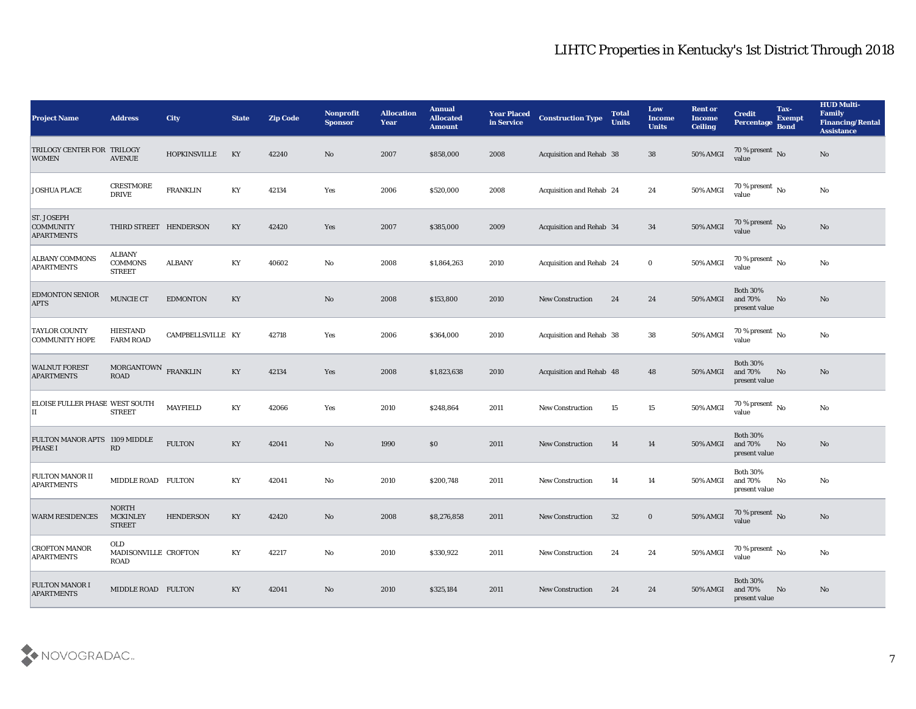| <b>Project Name</b>                                        | <b>Address</b>                                   | <b>City</b>         | <b>State</b>           | <b>Zip Code</b> | Nonprofit<br><b>Sponsor</b> | <b>Allocation</b><br><b>Year</b> | <b>Annual</b><br><b>Allocated</b><br><b>Amount</b> | <b>Year Placed</b><br>in Service | <b>Construction Type</b> | <b>Total</b><br><b>Units</b> | Low<br><b>Income</b><br><b>Units</b> | <b>Rent or</b><br><b>Income</b><br><b>Ceiling</b> | <b>Credit</b><br>Percentage                 | Tax-<br><b>Exempt</b><br><b>Bond</b> | <b>HUD Multi-</b><br>Family<br><b>Financing/Rental</b><br><b>Assistance</b> |
|------------------------------------------------------------|--------------------------------------------------|---------------------|------------------------|-----------------|-----------------------------|----------------------------------|----------------------------------------------------|----------------------------------|--------------------------|------------------------------|--------------------------------------|---------------------------------------------------|---------------------------------------------|--------------------------------------|-----------------------------------------------------------------------------|
| TRILOGY CENTER FOR TRILOGY<br><b>WOMEN</b>                 | <b>AVENUE</b>                                    | <b>HOPKINSVILLE</b> | KY                     | 42240           | No                          | 2007                             | \$858,000                                          | 2008                             | Acquisition and Rehab 38 |                              | 38                                   | <b>50% AMGI</b>                                   | 70 % present No<br>value                    |                                      | No                                                                          |
| <b>JOSHUA PLACE</b>                                        | CRESTMORE<br><b>DRIVE</b>                        | <b>FRANKLIN</b>     | KY                     | 42134           | Yes                         | 2006                             | \$520,000                                          | 2008                             | Acquisition and Rehab 24 |                              | 24                                   | 50% AMGI                                          | 70 % present $\,$ No $\,$<br>value          |                                      | No                                                                          |
| <b>ST. JOSEPH</b><br><b>COMMUNITY</b><br><b>APARTMENTS</b> | THIRD STREET HENDERSON                           |                     | KY                     | 42420           | Yes                         | 2007                             | \$385,000                                          | 2009                             | Acquisition and Rehab 34 |                              | 34                                   | 50% AMGI                                          | 70 % present No<br>value                    |                                      | No                                                                          |
| <b>ALBANY COMMONS</b><br><b>APARTMENTS</b>                 | ALBANY<br><b>COMMONS</b><br><b>STREET</b>        | <b>ALBANY</b>       | KY                     | 40602           | No                          | 2008                             | \$1,864,263                                        | 2010                             | Acquisition and Rehab 24 |                              | $\bf{0}$                             | 50% AMGI                                          | 70 % present $\,$ No $\,$<br>value          |                                      | $\rm No$                                                                    |
| <b>EDMONTON SENIOR</b><br><b>APTS</b>                      | <b>MUNCIE CT</b>                                 | <b>EDMONTON</b>     | KY                     |                 | No                          | 2008                             | \$153,800                                          | 2010                             | New Construction         | 24                           | 24                                   | <b>50% AMGI</b>                                   | <b>Both 30%</b><br>and 70%<br>present value | No                                   | No                                                                          |
| <b>TAYLOR COUNTY</b><br>COMMUNITY HOPE                     | <b>HIESTAND</b><br><b>FARM ROAD</b>              | CAMPBELLSVILLE KY   |                        | 42718           | Yes                         | 2006                             | \$364,000                                          | 2010                             | Acquisition and Rehab 38 |                              | 38                                   | 50% AMGI                                          | 70 % present $\,$ No $\,$<br>value          |                                      | No                                                                          |
| <b>WALNUT FOREST</b><br><b>APARTMENTS</b>                  | MORGANTOWN FRANKLIN<br><b>ROAD</b>               |                     | $\mathbf{K}\mathbf{Y}$ | 42134           | Yes                         | 2008                             | \$1,823,638                                        | 2010                             | Acquisition and Rehab 48 |                              | 48                                   | <b>50% AMGI</b>                                   | <b>Both 30%</b><br>and 70%<br>present value | No                                   | No                                                                          |
| ELOISE FULLER PHASE WEST SOUTH<br>П                        | <b>STREET</b>                                    | <b>MAYFIELD</b>     | KY                     | 42066           | Yes                         | 2010                             | \$248,864                                          | 2011                             | <b>New Construction</b>  | 15                           | 15                                   | 50% AMGI                                          | 70 % present $\,$ No $\,$<br>value          |                                      | No                                                                          |
| FULTON MANOR APTS 1109 MIDDLE<br><b>PHASE I</b>            | $\mathbf{R}\mathbf{D}$                           | <b>FULTON</b>       | KY                     | 42041           | $\mathbf{N}\mathbf{o}$      | 1990                             | \$0                                                | 2011                             | <b>New Construction</b>  | 14                           | 14                                   | 50% AMGI                                          | <b>Both 30%</b><br>and 70%<br>present value | No                                   | No                                                                          |
| FULTON MANOR II<br><b>APARTMENTS</b>                       | MIDDLE ROAD FULTON                               |                     | KY                     | 42041           | No                          | 2010                             | \$200,748                                          | 2011                             | <b>New Construction</b>  | 14                           | 14                                   | 50% AMGI                                          | <b>Both 30%</b><br>and 70%<br>present value | No                                   | No                                                                          |
| <b>WARM RESIDENCES</b>                                     | <b>NORTH</b><br><b>MCKINLEY</b><br><b>STREET</b> | <b>HENDERSON</b>    | KY                     | 42420           | No                          | 2008                             | \$8,276,858                                        | 2011                             | <b>New Construction</b>  | 32                           | $\bf{0}$                             | <b>50% AMGI</b>                                   | 70 % present No<br>value                    |                                      | No                                                                          |
| <b>CROFTON MANOR</b><br><b>APARTMENTS</b>                  | OLD<br>MADISONVILLE CROFTON<br><b>ROAD</b>       |                     | $\mathbf{K}\mathbf{Y}$ | 42217           | $\mathbf {No}$              | 2010                             | \$330,922                                          | 2011                             | New Construction         | 24                           | 24                                   | 50% AMGI                                          | $70\,\%$ present $\,$ No value              |                                      | $\mathbf{No}$                                                               |
| <b>FULTON MANOR I</b><br><b>APARTMENTS</b>                 | MIDDLE ROAD FULTON                               |                     | $\mathbf{K}\mathbf{Y}$ | 42041           | No                          | 2010                             | \$325,184                                          | 2011                             | <b>New Construction</b>  | 24                           | 24                                   | <b>50% AMGI</b>                                   | <b>Both 30%</b><br>and 70%<br>present value | No                                   | No                                                                          |

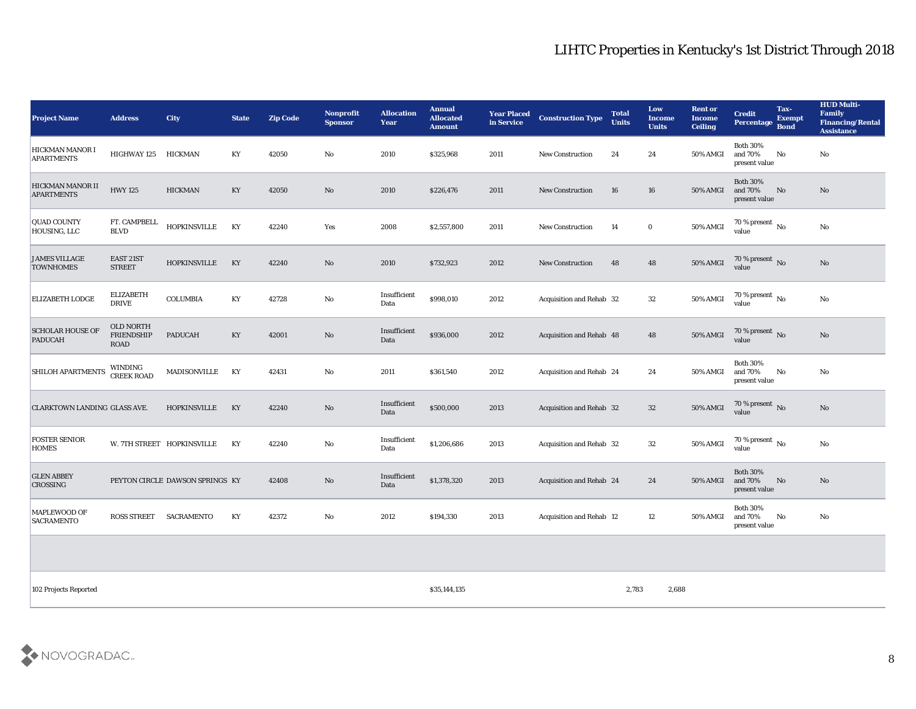| <b>Project Name</b>                       | <b>Address</b>                                | City                            | <b>State</b> | <b>Zip Code</b> | Nonprofit<br><b>Sponsor</b> | <b>Allocation</b><br><b>Year</b> | <b>Annual</b><br><b>Allocated</b><br><b>Amount</b> | <b>Year Placed</b><br>in Service | <b>Construction Type</b>        | <b>Total</b><br><b>Units</b> | Low<br><b>Income</b><br><b>Units</b> | <b>Rent or</b><br><b>Income</b><br><b>Ceiling</b> | <b>Credit</b><br>Percentage                 | Tax-<br><b>Exempt</b><br><b>Bond</b> | <b>HUD Multi-</b><br>Family<br><b>Financing/Rental</b><br><b>Assistance</b> |
|-------------------------------------------|-----------------------------------------------|---------------------------------|--------------|-----------------|-----------------------------|----------------------------------|----------------------------------------------------|----------------------------------|---------------------------------|------------------------------|--------------------------------------|---------------------------------------------------|---------------------------------------------|--------------------------------------|-----------------------------------------------------------------------------|
| HICKMAN MANOR I<br><b>APARTMENTS</b>      | <b>HIGHWAY 125</b>                            | HICKMAN                         | KY           | 42050           | No                          | 2010                             | \$325,968                                          | 2011                             | <b>New Construction</b>         | 24                           | 24                                   | 50% AMGI                                          | <b>Both 30%</b><br>and 70%<br>present value | No                                   | No                                                                          |
| HICKMAN MANOR II<br><b>APARTMENTS</b>     | <b>HWY 125</b>                                | <b>HICKMAN</b>                  | KY           | 42050           | No                          | 2010                             | \$226,476                                          | 2011                             | <b>New Construction</b>         | 16                           | 16                                   | 50% AMGI                                          | <b>Both 30%</b><br>and 70%<br>present value | No                                   | No                                                                          |
| <b>QUAD COUNTY</b><br>HOUSING, LLC        | FT. CAMPBELL<br><b>BLVD</b>                   | <b>HOPKINSVILLE</b>             | KY           | 42240           | Yes                         | 2008                             | \$2,557,800                                        | 2011                             | New Construction                | 14                           | $\bf{0}$                             | 50% AMGI                                          | 70 % present $\,$ No $\,$<br>value          |                                      | No                                                                          |
| <b>JAMES VILLAGE</b><br><b>TOWNHOMES</b>  | EAST 21ST<br><b>STREET</b>                    | <b>HOPKINSVILLE</b>             | KY           | 42240           | No                          | 2010                             | \$732,923                                          | 2012                             | <b>New Construction</b>         | 48                           | 48                                   | <b>50% AMGI</b>                                   | $70\,\%$ present $\,$ No value              |                                      | $\mathbf{N}\mathbf{o}$                                                      |
| <b>ELIZABETH LODGE</b>                    | <b>ELIZABETH</b><br><b>DRIVE</b>              | <b>COLUMBIA</b>                 | KY           | 42728           | No                          | Insufficient<br>Data             | \$998,010                                          | 2012                             | Acquisition and Rehab 32        |                              | 32                                   | 50% AMGI                                          | 70 % present $\,$ No $\,$<br>value          |                                      | No                                                                          |
| <b>SCHOLAR HOUSE OF</b><br><b>PADUCAH</b> | <b>OLD NORTH</b><br><b>FRIENDSHIP</b><br>ROAD | <b>PADUCAH</b>                  | KY           | 42001           | No                          | Insufficient<br>Data             | \$936,000                                          | 2012                             | Acquisition and Rehab 48        |                              | 48                                   | <b>50% AMGI</b>                                   | $70\,\%$ present $\,$ No value              |                                      | No                                                                          |
| <b>SHILOH APARTMENTS</b>                  | WINDING<br><b>CREEK ROAD</b>                  | <b>MADISONVILLE</b>             | KY           | 42431           | No                          | 2011                             | \$361,540                                          | 2012                             | Acquisition and Rehab 24        |                              | 24                                   | 50% AMGI                                          | <b>Both 30%</b><br>and 70%<br>present value | No                                   | No                                                                          |
| CLARKTOWN LANDING GLASS AVE.              |                                               | <b>HOPKINSVILLE</b>             | KY           | 42240           | No                          | Insufficient<br>Data             | \$500,000                                          | 2013                             | Acquisition and Rehab 32        |                              | 32                                   | 50% AMGI                                          | 70 % present No<br>value                    |                                      | $\mathbf{N}\mathbf{o}$                                                      |
| <b>FOSTER SENIOR</b><br><b>HOMES</b>      |                                               | W. 7TH STREET HOPKINSVILLE      | KY           | 42240           | No                          | Insufficient<br>Data             | \$1,206,686                                        | 2013                             | Acquisition and Rehab 32        |                              | 32                                   | 50% AMGI                                          | 70 % present $\sqrt{\ }$ No<br>value        |                                      | No                                                                          |
| <b>GLEN ABBEY</b><br><b>CROSSING</b>      |                                               | PEYTON CIRCLE DAWSON SPRINGS KY |              | 42408           | No                          | Insufficient<br>Data             | \$1,378,320                                        | 2013                             | Acquisition and Rehab 24        |                              | 24                                   | 50% AMGI                                          | <b>Both 30%</b><br>and 70%<br>present value | No                                   | No                                                                          |
| MAPLEWOOD OF<br><b>SACRAMENTO</b>         | ROSS STREET SACRAMENTO                        |                                 | KY           | 42372           | No                          | 2012                             | \$194,330                                          | 2013                             | <b>Acquisition and Rehab 12</b> |                              | 12                                   | 50% AMGI and 70%                                  | <b>Both 30%</b><br>$\,$ present value       | No                                   | No                                                                          |
|                                           |                                               |                                 |              |                 |                             |                                  |                                                    |                                  |                                 |                              |                                      |                                                   |                                             |                                      |                                                                             |
| 102 Projects Reported                     |                                               |                                 |              |                 |                             |                                  | \$35,144,135                                       |                                  |                                 | 2,783                        | 2,688                                |                                                   |                                             |                                      |                                                                             |